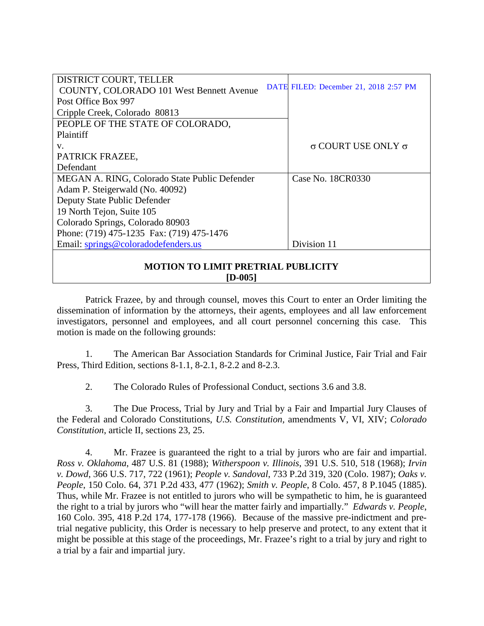| DISTRICT COURT, TELLER                               |  |                                       |
|------------------------------------------------------|--|---------------------------------------|
| <b>COUNTY, COLORADO 101 West Bennett Avenue</b>      |  | DATE FILED: December 21, 2018 2:57 PM |
| Post Office Box 997                                  |  |                                       |
| Cripple Creek, Colorado 80813                        |  |                                       |
| PEOPLE OF THE STATE OF COLORADO,                     |  |                                       |
| Plaintiff                                            |  |                                       |
| V.                                                   |  | $\sigma$ COURT USE ONLY $\sigma$      |
| PATRICK FRAZEE,                                      |  |                                       |
| Defendant                                            |  |                                       |
| MEGAN A. RING, Colorado State Public Defender        |  | Case No. 18CR0330                     |
| Adam P. Steigerwald (No. 40092)                      |  |                                       |
| Deputy State Public Defender                         |  |                                       |
| 19 North Tejon, Suite 105                            |  |                                       |
| Colorado Springs, Colorado 80903                     |  |                                       |
| Phone: (719) 475-1235 Fax: (719) 475-1476            |  |                                       |
| Email: springs@coloradodefenders.us                  |  | Division 11                           |
| <b>MOTION TO LIMIT PRETRIAL PUBLICITY</b><br>[D-005] |  |                                       |

Patrick Frazee, by and through counsel, moves this Court to enter an Order limiting the dissemination of information by the attorneys, their agents, employees and all law enforcement investigators, personnel and employees, and all court personnel concerning this case. This motion is made on the following grounds:

1. The American Bar Association Standards for Criminal Justice, Fair Trial and Fair Press, Third Edition, sections 8-1.1, 8-2.1, 8-2.2 and 8-2.3.

2. The Colorado Rules of Professional Conduct, sections 3.6 and 3.8.

3. The Due Process, Trial by Jury and Trial by a Fair and Impartial Jury Clauses of the Federal and Colorado Constitutions, *U.S. Constitution,* amendments V, VI, XIV; *Colorado Constitution*, article II, sections 23, 25.

4. Mr. Frazee is guaranteed the right to a trial by jurors who are fair and impartial. *Ross v. Oklahoma*, 487 U.S. 81 (1988); *Witherspoon v. Illinois*, 391 U.S. 510, 518 (1968); *Irvin v. Dowd*, 366 U.S. 717, 722 (1961); *People v. Sandoval*, 733 P.2d 319, 320 (Colo. 1987); *Oaks v. People*, 150 Colo. 64, 371 P.2d 433, 477 (1962); *Smith v. People*, 8 Colo. 457, 8 P.1045 (1885). Thus, while Mr. Frazee is not entitled to jurors who will be sympathetic to him, he is guaranteed the right to a trial by jurors who "will hear the matter fairly and impartially." *Edwards v. People*, 160 Colo. 395, 418 P.2d 174, 177-178 (1966). Because of the massive pre-indictment and pretrial negative publicity, this Order is necessary to help preserve and protect, to any extent that it might be possible at this stage of the proceedings, Mr. Frazee's right to a trial by jury and right to a trial by a fair and impartial jury.